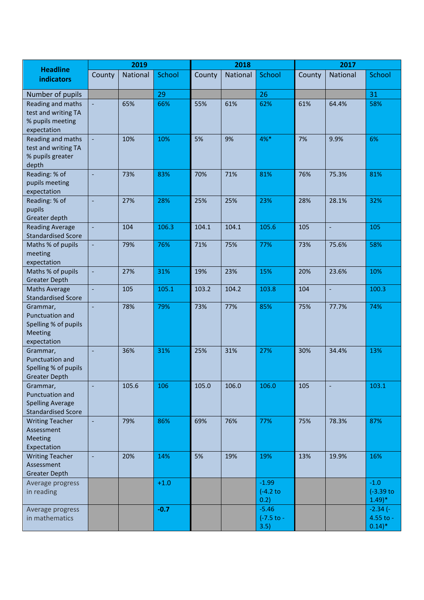| <b>Headline</b><br>indicators                                                       | 2019           |          |               | 2018   |          |                                  | 2017   |                          |                                                |
|-------------------------------------------------------------------------------------|----------------|----------|---------------|--------|----------|----------------------------------|--------|--------------------------|------------------------------------------------|
|                                                                                     | County         | National | <b>School</b> | County | National | School                           | County | <b>National</b>          | School                                         |
| Number of pupils                                                                    |                |          | 29            |        |          | 26                               |        |                          | 31                                             |
| Reading and maths<br>test and writing TA                                            | $\Box$         | 65%      | 66%           | 55%    | 61%      | 62%                              | 61%    | 64.4%                    | 58%                                            |
| % pupils meeting<br>expectation                                                     |                |          |               |        |          |                                  |        |                          |                                                |
| Reading and maths<br>test and writing TA<br>% pupils greater<br>depth               | ÷,             | 10%      | 10%           | 5%     | 9%       | 4%*                              | 7%     | 9.9%                     | 6%                                             |
| Reading: % of<br>pupils meeting<br>expectation                                      | ÷,             | 73%      | 83%           | 70%    | 71%      | 81%                              | 76%    | 75.3%                    | 81%                                            |
| Reading: % of<br>pupils<br>Greater depth                                            | ÷,             | 27%      | 28%           | 25%    | 25%      | 23%                              | 28%    | 28.1%                    | 32%                                            |
| <b>Reading Average</b><br><b>Standardised Score</b>                                 | $\Box$         | 104      | 106.3         | 104.1  | 104.1    | 105.6                            | 105    | ÷,                       | 105                                            |
| Maths % of pupils<br>meeting<br>expectation                                         | $\blacksquare$ | 79%      | 76%           | 71%    | 75%      | 77%                              | 73%    | 75.6%                    | 58%                                            |
| Maths % of pupils<br><b>Greater Depth</b>                                           | $\Box$         | 27%      | 31%           | 19%    | 23%      | 15%                              | 20%    | 23.6%                    | 10%                                            |
| <b>Maths Average</b><br><b>Standardised Score</b>                                   |                | 105      | 105.1         | 103.2  | 104.2    | 103.8                            | 104    | $\overline{\phantom{a}}$ | 100.3                                          |
| Grammar,<br>Punctuation and<br>Spelling % of pupils<br>Meeting<br>expectation       |                | 78%      | 79%           | 73%    | 77%      | 85%                              | 75%    | 77.7%                    | 74%                                            |
| Grammar,<br>Punctuation and<br>Spelling % of pupils<br>Greater Depth                | ÷,             | 36%      | 31%           | 25%    | 31%      | 27%                              | 30%    | 34.4%                    | 13%                                            |
| Grammar,<br>Punctuation and<br><b>Spelling Average</b><br><b>Standardised Score</b> | $\Box$         | 105.6    | 106           | 105.0  | 106.0    | 106.0                            | 105    | ÷,                       | 103.1                                          |
| <b>Writing Teacher</b><br>Assessment<br>Meeting<br>Expectation                      | $\Box$         | 79%      | 86%           | 69%    | 76%      | 77%                              | 75%    | 78.3%                    | 87%                                            |
| <b>Writing Teacher</b><br>Assessment<br><b>Greater Depth</b>                        | ÷,             | 20%      | 14%           | 5%     | 19%      | 19%                              | 13%    | 19.9%                    | 16%                                            |
| Average progress<br>in reading                                                      |                |          | $+1.0$        |        |          | $-1.99$<br>$(-4.2)$ to<br>0.2)   |        |                          | $-1.0$<br>$(-3.39)$ to<br>$(1.49)^*$           |
| Average progress<br>in mathematics                                                  |                |          | $-0.7$        |        |          | $-5.46$<br>$(-7.5)$ to -<br>3.5) |        |                          | $-2.34(-)$<br>4.55 to -<br>$0.14$ <sup>*</sup> |